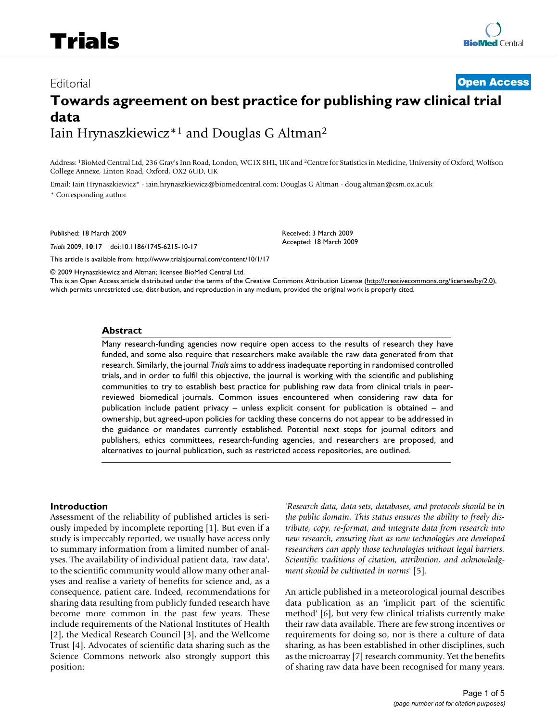# Editorial **[Open Access](http://www.biomedcentral.com/info/about/charter/) Towards agreement on best practice for publishing raw clinical trial data** Iain Hrynaszkiewicz\*<sup>1</sup> and Douglas G Altman<sup>2</sup>

Address: 1BioMed Central Ltd, 236 Gray's Inn Road, London, WC1X 8HL, UK and 2Centre for Statistics in Medicine, University of Oxford, Wolfson College Annexe, Linton Road, Oxford, OX2 6UD, UK

Email: Iain Hrynaszkiewicz\* - iain.hrynaszkiewicz@biomedcentral.com; Douglas G Altman - doug.altman@csm.ox.ac.uk \* Corresponding author

Published: 18 March 2009

*Trials* 2009, **10**:17 doi:10.1186/1745-6215-10-17

[This article is available from: http://www.trialsjournal.com/content/10/1/17](http://www.trialsjournal.com/content/10/1/17)

Received: 3 March 2009 Accepted: 18 March 2009

© 2009 Hrynaszkiewicz and Altman; licensee BioMed Central Ltd.

This is an Open Access article distributed under the terms of the Creative Commons Attribution License [\(http://creativecommons.org/licenses/by/2.0\)](http://creativecommons.org/licenses/by/2.0), which permits unrestricted use, distribution, and reproduction in any medium, provided the original work is properly cited.

#### **Abstract**

Many research-funding agencies now require open access to the results of research they have funded, and some also require that researchers make available the raw data generated from that research. Similarly, the journal *Trials* aims to address inadequate reporting in randomised controlled trials, and in order to fulfil this objective, the journal is working with the scientific and publishing communities to try to establish best practice for publishing raw data from clinical trials in peerreviewed biomedical journals. Common issues encountered when considering raw data for publication include patient privacy – unless explicit consent for publication is obtained – and ownership, but agreed-upon policies for tackling these concerns do not appear to be addressed in the guidance or mandates currently established. Potential next steps for journal editors and publishers, ethics committees, research-funding agencies, and researchers are proposed, and alternatives to journal publication, such as restricted access repositories, are outlined.

## **Introduction**

Assessment of the reliability of published articles is seriously impeded by incomplete reporting [1]. But even if a study is impeccably reported, we usually have access only to summary information from a limited number of analyses. The availability of individual patient data, 'raw data', to the scientific community would allow many other analyses and realise a variety of benefits for science and, as a consequence, patient care. Indeed, recommendations for sharing data resulting from publicly funded research have become more common in the past few years. These include requirements of the National Institutes of Health [2], the Medical Research Council [3], and the Wellcome Trust [4]. Advocates of scientific data sharing such as the Science Commons network also strongly support this position:

'*Research data, data sets, databases, and protocols should be in the public domain. This status ensures the ability to freely distribute, copy, re-format, and integrate data from research into new research, ensuring that as new technologies are developed researchers can apply those technologies without legal barriers. Scientific traditions of citation, attribution, and acknowledgment should be cultivated in norms*' [5].

An article published in a meteorological journal describes data publication as an 'implicit part of the scientific method' [6], but very few clinical trialists currently make their raw data available. There are few strong incentives or requirements for doing so, nor is there a culture of data sharing, as has been established in other disciplines, such as the microarray [7] research community. Yet the benefits of sharing raw data have been recognised for many years.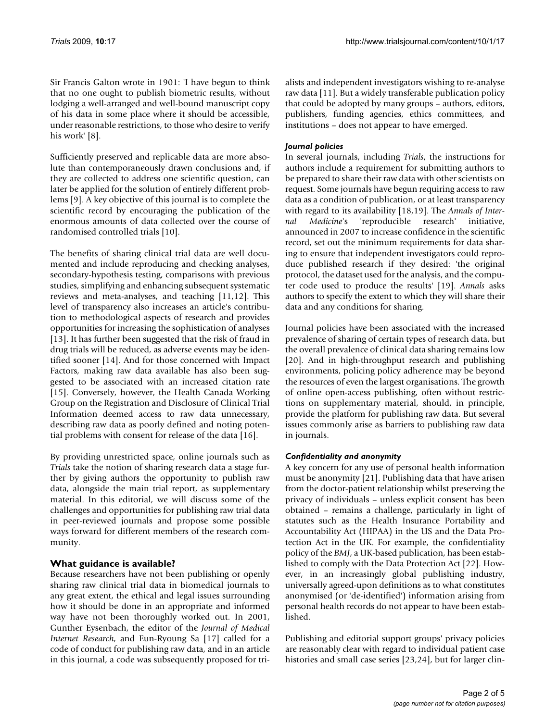Sir Francis Galton wrote in 1901: 'I have begun to think that no one ought to publish biometric results, without lodging a well-arranged and well-bound manuscript copy of his data in some place where it should be accessible, under reasonable restrictions, to those who desire to verify his work' [8].

Sufficiently preserved and replicable data are more absolute than contemporaneously drawn conclusions and, if they are collected to address one scientific question, can later be applied for the solution of entirely different problems [9]. A key objective of this journal is to complete the scientific record by encouraging the publication of the enormous amounts of data collected over the course of randomised controlled trials [10].

The benefits of sharing clinical trial data are well documented and include reproducing and checking analyses, secondary-hypothesis testing, comparisons with previous studies, simplifying and enhancing subsequent systematic reviews and meta-analyses, and teaching [11,12]. This level of transparency also increases an article's contribution to methodological aspects of research and provides opportunities for increasing the sophistication of analyses [13]. It has further been suggested that the risk of fraud in drug trials will be reduced, as adverse events may be identified sooner [14]. And for those concerned with Impact Factors, making raw data available has also been suggested to be associated with an increased citation rate [15]. Conversely, however, the Health Canada Working Group on the Registration and Disclosure of Clinical Trial Information deemed access to raw data unnecessary, describing raw data as poorly defined and noting potential problems with consent for release of the data [16].

By providing unrestricted space, online journals such as *Trials* take the notion of sharing research data a stage further by giving authors the opportunity to publish raw data, alongside the main trial report, as supplementary material. In this editorial, we will discuss some of the challenges and opportunities for publishing raw trial data in peer-reviewed journals and propose some possible ways forward for different members of the research community.

# **What guidance is available?**

Because researchers have not been publishing or openly sharing raw clinical trial data in biomedical journals to any great extent, the ethical and legal issues surrounding how it should be done in an appropriate and informed way have not been thoroughly worked out. In 2001, Gunther Eysenbach, the editor of the *Journal of Medical Internet Research*, and Eun-Ryoung Sa [17] called for a code of conduct for publishing raw data, and in an article in this journal, a code was subsequently proposed for trialists and independent investigators wishing to re-analyse raw data [11]. But a widely transferable publication policy that could be adopted by many groups – authors, editors, publishers, funding agencies, ethics committees, and institutions – does not appear to have emerged.

# *Journal policies*

In several journals, including *Trials*, the instructions for authors include a requirement for submitting authors to be prepared to share their raw data with other scientists on request. Some journals have begun requiring access to raw data as a condition of publication, or at least transparency with regard to its availability [18,19]. The *Annals of Internal Medicine*'s 'reproducible research' initiative, announced in 2007 to increase confidence in the scientific record, set out the minimum requirements for data sharing to ensure that independent investigators could reproduce published research if they desired: 'the original protocol, the dataset used for the analysis, and the computer code used to produce the results' [19]. *Annals* asks authors to specify the extent to which they will share their data and any conditions for sharing.

Journal policies have been associated with the increased prevalence of sharing of certain types of research data, but the overall prevalence of clinical data sharing remains low [20]. And in high-throughput research and publishing environments, policing policy adherence may be beyond the resources of even the largest organisations. The growth of online open-access publishing, often without restrictions on supplementary material, should, in principle, provide the platform for publishing raw data. But several issues commonly arise as barriers to publishing raw data in journals.

# *Confidentiality and anonymity*

A key concern for any use of personal health information must be anonymity [21]. Publishing data that have arisen from the doctor-patient relationship whilst preserving the privacy of individuals – unless explicit consent has been obtained – remains a challenge, particularly in light of statutes such as the Health Insurance Portability and Accountability Act (HIPAA) in the US and the Data Protection Act in the UK. For example, the confidentiality policy of the *BMJ*, a UK-based publication, has been established to comply with the Data Protection Act [22]. However, in an increasingly global publishing industry, universally agreed-upon definitions as to what constitutes anonymised (or 'de-identified') information arising from personal health records do not appear to have been established.

Publishing and editorial support groups' privacy policies are reasonably clear with regard to individual patient case histories and small case series [23,24], but for larger clin-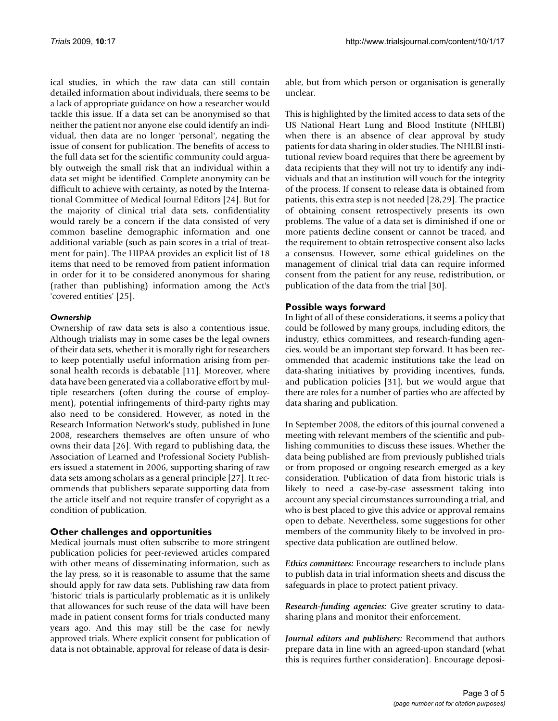ical studies, in which the raw data can still contain detailed information about individuals, there seems to be a lack of appropriate guidance on how a researcher would tackle this issue. If a data set can be anonymised so that neither the patient nor anyone else could identify an individual, then data are no longer 'personal', negating the issue of consent for publication. The benefits of access to the full data set for the scientific community could arguably outweigh the small risk that an individual within a data set might be identified. Complete anonymity can be difficult to achieve with certainty, as noted by the International Committee of Medical Journal Editors [24]. But for the majority of clinical trial data sets, confidentiality would rarely be a concern if the data consisted of very common baseline demographic information and one additional variable (such as pain scores in a trial of treatment for pain). The HIPAA provides an explicit list of 18 items that need to be removed from patient information in order for it to be considered anonymous for sharing (rather than publishing) information among the Act's 'covered entities' [25].

# *Ownership*

Ownership of raw data sets is also a contentious issue. Although trialists may in some cases be the legal owners of their data sets, whether it is morally right for researchers to keep potentially useful information arising from personal health records is debatable [11]. Moreover, where data have been generated via a collaborative effort by multiple researchers (often during the course of employment), potential infringements of third-party rights may also need to be considered. However, as noted in the Research Information Network's study, published in June 2008, researchers themselves are often unsure of who owns their data [26]. With regard to publishing data, the Association of Learned and Professional Society Publishers issued a statement in 2006, supporting sharing of raw data sets among scholars as a general principle [27]. It recommends that publishers separate supporting data from the article itself and not require transfer of copyright as a condition of publication.

# **Other challenges and opportunities**

Medical journals must often subscribe to more stringent publication policies for peer-reviewed articles compared with other means of disseminating information, such as the lay press, so it is reasonable to assume that the same should apply for raw data sets. Publishing raw data from 'historic' trials is particularly problematic as it is unlikely that allowances for such reuse of the data will have been made in patient consent forms for trials conducted many years ago. And this may still be the case for newly approved trials. Where explicit consent for publication of data is not obtainable, approval for release of data is desirable, but from which person or organisation is generally unclear.

This is highlighted by the limited access to data sets of the US National Heart Lung and Blood Institute (NHLBI) when there is an absence of clear approval by study patients for data sharing in older studies. The NHLBI institutional review board requires that there be agreement by data recipients that they will not try to identify any individuals and that an institution will vouch for the integrity of the process. If consent to release data is obtained from patients, this extra step is not needed [28,29]. The practice of obtaining consent retrospectively presents its own problems. The value of a data set is diminished if one or more patients decline consent or cannot be traced, and the requirement to obtain retrospective consent also lacks a consensus. However, some ethical guidelines on the management of clinical trial data can require informed consent from the patient for any reuse, redistribution, or publication of the data from the trial [30].

# **Possible ways forward**

In light of all of these considerations, it seems a policy that could be followed by many groups, including editors, the industry, ethics committees, and research-funding agencies, would be an important step forward. It has been recommended that academic institutions take the lead on data-sharing initiatives by providing incentives, funds, and publication policies [31], but we would argue that there are roles for a number of parties who are affected by data sharing and publication.

In September 2008, the editors of this journal convened a meeting with relevant members of the scientific and publishing communities to discuss these issues. Whether the data being published are from previously published trials or from proposed or ongoing research emerged as a key consideration. Publication of data from historic trials is likely to need a case-by-case assessment taking into account any special circumstances surrounding a trial, and who is best placed to give this advice or approval remains open to debate. Nevertheless, some suggestions for other members of the community likely to be involved in prospective data publication are outlined below.

*Ethics committees:* Encourage researchers to include plans to publish data in trial information sheets and discuss the safeguards in place to protect patient privacy.

*Research-funding agencies:* Give greater scrutiny to datasharing plans and monitor their enforcement.

*Journal editors and publishers:* Recommend that authors prepare data in line with an agreed-upon standard (what this is requires further consideration). Encourage deposi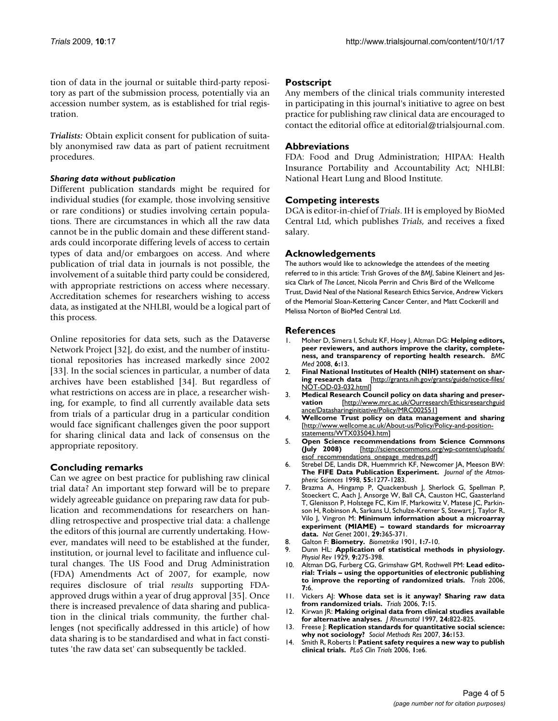tion of data in the journal or suitable third-party repository as part of the submission process, potentially via an accession number system, as is established for trial registration.

*Trialists:* Obtain explicit consent for publication of suitably anonymised raw data as part of patient recruitment procedures.

# *Sharing data without publication*

Different publication standards might be required for individual studies (for example, those involving sensitive or rare conditions) or studies involving certain populations. There are circumstances in which all the raw data cannot be in the public domain and these different standards could incorporate differing levels of access to certain types of data and/or embargoes on access. And where publication of trial data in journals is not possible, the involvement of a suitable third party could be considered, with appropriate restrictions on access where necessary. Accreditation schemes for researchers wishing to access data, as instigated at the NHLBI, would be a logical part of this process.

Online repositories for data sets, such as the Dataverse Network Project [32], do exist, and the number of institutional repositories has increased markedly since 2002 [33]. In the social sciences in particular, a number of data archives have been established [34]. But regardless of what restrictions on access are in place, a researcher wishing, for example, to find all currently available data sets from trials of a particular drug in a particular condition would face significant challenges given the poor support for sharing clinical data and lack of consensus on the appropriate repository.

# **Concluding remarks**

Can we agree on best practice for publishing raw clinical trial data? An important step forward will be to prepare widely agreeable guidance on preparing raw data for publication and recommendations for researchers on handling retrospective and prospective trial data: a challenge the editors of this journal are currently undertaking. However, mandates will need to be established at the funder, institution, or journal level to facilitate and influence cultural changes. The US Food and Drug Administration (FDA) Amendments Act of 2007, for example, now requires disclosure of trial *results* supporting FDAapproved drugs within a year of drug approval [35]. Once there is increased prevalence of data sharing and publication in the clinical trials community, the further challenges (not specifically addressed in this article) of how data sharing is to be standardised and what in fact constitutes 'the raw data set' can subsequently be tackled.

## **Postscript**

Any members of the clinical trials community interested in participating in this journal's initiative to agree on best practice for publishing raw clinical data are encouraged to contact the editorial office at editorial@trialsjournal.com.

#### **Abbreviations**

FDA: Food and Drug Administration; HIPAA: Health Insurance Portability and Accountability Act; NHLBI: National Heart Lung and Blood Institute.

### **Competing interests**

DGA is editor-in-chief of *Trials*. IH is employed by BioMed Central Ltd, which publishes *Trials*, and receives a fixed salary.

### **Acknowledgements**

The authors would like to acknowledge the attendees of the meeting referred to in this article: Trish Groves of the *BMJ*, Sabine Kleinert and Jessica Clark of *The Lancet*, Nicola Perrin and Chris Bird of the Wellcome Trust, David Neal of the National Research Ethics Service, Andrew Vickers of the Memorial Sloan-Kettering Cancer Center, and Matt Cockerill and Melissa Norton of BioMed Central Ltd.

#### **References**

- 1. Moher D, Simera I, Schulz KF, Hoey J, Altman DG: **[Helping editors,](http://www.ncbi.nlm.nih.gov/entrez/query.fcgi?cmd=Retrieve&db=PubMed&dopt=Abstract&list_uids=18558004) [peer reviewers, and authors improve the clarity, complete](http://www.ncbi.nlm.nih.gov/entrez/query.fcgi?cmd=Retrieve&db=PubMed&dopt=Abstract&list_uids=18558004)[ness, and transparency of reporting health research.](http://www.ncbi.nlm.nih.gov/entrez/query.fcgi?cmd=Retrieve&db=PubMed&dopt=Abstract&list_uids=18558004)** *BMC Med* 2008, **6:**13.
- 2. **Final National Institutes of Health (NIH) statement on sharing research data** [\[http://grants.nih.gov/grants/guide/notice-files/](http://grants.nih.gov/grants/guide/notice-files/NOT-OD-03-032.html) [NOT-OD-03-032.html](http://grants.nih.gov/grants/guide/notice-files/NOT-OD-03-032.html)]
- 3. **Medical Research Council policy on data sharing and preservation** [[http://www.mrc.ac.uk/Ourresearch/Ethicsresearchguid](http://www.mrc.ac.uk/Ourresearch/Ethicsresearchguidance/Datasharinginitiative/Policy/MRC002551) [ance/Datasharinginitiative/Policy/MRC002551\]](http://www.mrc.ac.uk/Ourresearch/Ethicsresearchguidance/Datasharinginitiative/Policy/MRC002551)
- 4. **Wellcome Trust policy on data management and sharing** [[http://www.wellcome.ac.uk/About-us/Policy/Policy-and-position](http://www.wellcome.ac.uk/About-us/Policy/Policy-and-position-statements/WTX035043.htm)[statements/WTX035043.htm](http://www.wellcome.ac.uk/About-us/Policy/Policy-and-position-statements/WTX035043.htm)]
- 5. **Open Science recommendations from Science Commons** [[http://sciencecommons.org/wp-content/uploads/](http://sciencecommons.org/wp-content/uploads/esof_recommendations_onepage_medres.pdf) [esof\\_recommendations\\_onepage\\_medres.pdf\]](http://sciencecommons.org/wp-content/uploads/esof_recommendations_onepage_medres.pdf)
- 6. Strebel DE, Landis DR, Huemmrich KF, Newcomer JA, Meeson BW: **The FIFE Data Publication Experiment.** *Journal of the Atmospheric Sciences* 1998, **55:**1277-1283.
- 7. Brazma A, Hingamp P, Quackenbush J, Sherlock G, Spellman P, Stoeckert C, Aach J, Ansorge W, Ball CA, Causton HC, Gaasterland T, Glenisson P, Holstege FC, Kim IF, Markowitz V, Matese JC, Parkinson H, Robinson A, Sarkans U, Schulze-Kremer S, Stewart J, Taylor R, Vilo J, Vingron M: **[Minimum information about a microarray](http://www.ncbi.nlm.nih.gov/entrez/query.fcgi?cmd=Retrieve&db=PubMed&dopt=Abstract&list_uids=11726920) [experiment \(MIAME\) – toward standards for microarray](http://www.ncbi.nlm.nih.gov/entrez/query.fcgi?cmd=Retrieve&db=PubMed&dopt=Abstract&list_uids=11726920) [data.](http://www.ncbi.nlm.nih.gov/entrez/query.fcgi?cmd=Retrieve&db=PubMed&dopt=Abstract&list_uids=11726920)** *Nat Genet* 2001, **29:**365-371.
- 8. Galton F: **Biometry.** *Biometrika* 1901, **1:**7-10.
- 9. Dunn HL: **Application of statistical methods in physiology.** *Physiol Rev* 1929, **9:**275-398.
- 10. Altman DG, Furberg CG, Grimshaw GM, Rothwell PM: **[Lead edito](http://www.ncbi.nlm.nih.gov/entrez/query.fcgi?cmd=Retrieve&db=PubMed&dopt=Abstract&list_uids=16556322)[rial: Trials – using the opportunities of electronic publishing](http://www.ncbi.nlm.nih.gov/entrez/query.fcgi?cmd=Retrieve&db=PubMed&dopt=Abstract&list_uids=16556322) [to improve the reporting of randomized trials.](http://www.ncbi.nlm.nih.gov/entrez/query.fcgi?cmd=Retrieve&db=PubMed&dopt=Abstract&list_uids=16556322)** *Trials* 2006, **7:**6.
- 11. Vickers AJ: **[Whose data set is it anyway? Sharing raw data](http://www.ncbi.nlm.nih.gov/entrez/query.fcgi?cmd=Retrieve&db=PubMed&dopt=Abstract&list_uids=16704733) [from randomized trials.](http://www.ncbi.nlm.nih.gov/entrez/query.fcgi?cmd=Retrieve&db=PubMed&dopt=Abstract&list_uids=16704733)** *Trials* 2006, **7:**15.
- 12. Kirwan JR: **[Making original data from clinical studies available](http://www.ncbi.nlm.nih.gov/entrez/query.fcgi?cmd=Retrieve&db=PubMed&dopt=Abstract&list_uids=9150066) [for alternative analyses.](http://www.ncbi.nlm.nih.gov/entrez/query.fcgi?cmd=Retrieve&db=PubMed&dopt=Abstract&list_uids=9150066)** *J Rheumatol* 1997, **24:**822-825.
- 13. Freese J: **Replication standards for quantitative social science: why not sociology?** *Sociol Methods Res* 2007, **36:**153.
- 14. Smith R, Roberts I: **[Patient safety requires a new way to publish](http://www.ncbi.nlm.nih.gov/entrez/query.fcgi?cmd=Retrieve&db=PubMed&dopt=Abstract&list_uids=16871328) [clinical trials.](http://www.ncbi.nlm.nih.gov/entrez/query.fcgi?cmd=Retrieve&db=PubMed&dopt=Abstract&list_uids=16871328)** *PLoS Clin Trials* 2006, **1:**e6.